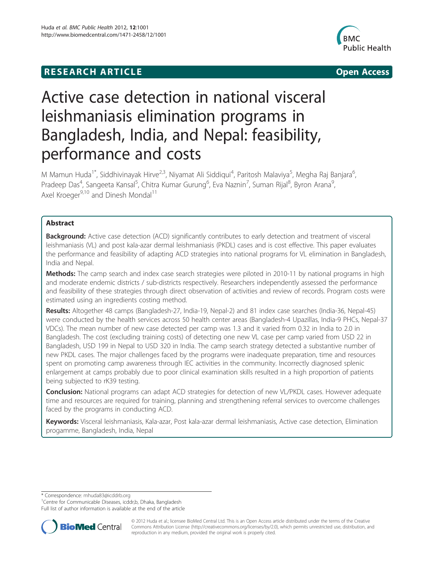## **RESEARCH ARTICLE Example 2014 12:30 The Community Community Community Community Community Community Community**



# Active case detection in national visceral leishmaniasis elimination programs in Bangladesh, India, and Nepal: feasibility, performance and costs

M Mamun Huda<sup>1\*</sup>, Siddhivinayak Hirve<sup>2,3</sup>, Niyamat Ali Siddiqui<sup>4</sup>, Paritosh Malaviya<sup>5</sup>, Megha Raj Banjara<sup>6</sup> , Pradeep Das<sup>4</sup>, Sangeeta Kansal<sup>5</sup>, Chitra Kumar Gurung<sup>6</sup>, Eva Naznin<sup>7</sup>, Suman Rijal<sup>8</sup>, Byron Arana<sup>9</sup> , Axel Kroeger<sup>9,10</sup> and Dinesh Mondal<sup>11</sup>

## Abstract

**Background:** Active case detection (ACD) significantly contributes to early detection and treatment of visceral leishmaniasis (VL) and post kala-azar dermal leishmaniasis (PKDL) cases and is cost effective. This paper evaluates the performance and feasibility of adapting ACD strategies into national programs for VL elimination in Bangladesh, India and Nepal.

**Methods:** The camp search and index case search strategies were piloted in 2010-11 by national programs in high and moderate endemic districts / sub-districts respectively. Researchers independently assessed the performance and feasibility of these strategies through direct observation of activities and review of records. Program costs were estimated using an ingredients costing method.

Results: Altogether 48 camps (Bangladesh-27, India-19, Nepal-2) and 81 index case searches (India-36, Nepal-45) were conducted by the health services across 50 health center areas (Bangladesh-4 Upazillas, India-9 PHCs, Nepal-37 VDCs). The mean number of new case detected per camp was 1.3 and it varied from 0.32 in India to 2.0 in Bangladesh. The cost (excluding training costs) of detecting one new VL case per camp varied from USD 22 in Bangladesh, USD 199 in Nepal to USD 320 in India. The camp search strategy detected a substantive number of new PKDL cases. The major challenges faced by the programs were inadequate preparation, time and resources spent on promoting camp awareness through IEC activities in the community. Incorrectly diagnosed splenic enlargement at camps probably due to poor clinical examination skills resulted in a high proportion of patients being subjected to rK39 testing.

**Conclusion:** National programs can adapt ACD strategies for detection of new VL/PKDL cases. However adequate time and resources are required for training, planning and strengthening referral services to overcome challenges faced by the programs in conducting ACD.

Keywords: Visceral leishmaniasis, Kala-azar, Post kala-azar dermal leishmaniasis, Active case detection, Elimination progamme, Bangladesh, India, Nepal

\* Correspondence: [mhuda83@icddrb.org](mailto:mhuda83@icddrb.org) <sup>1</sup>

<sup>1</sup> Centre for Communicable Diseases, icddr,b, Dhaka, Bangladesh

Full list of author information is available at the end of the article



© 2012 Huda et al.; licensee BioMed Central Ltd. This is an Open Access article distributed under the terms of the Creative Commons Attribution License [\(http://creativecommons.org/licenses/by/2.0\)](http://creativecommons.org/licenses/by/2.0), which permits unrestricted use, distribution, and reproduction in any medium, provided the original work is properly cited.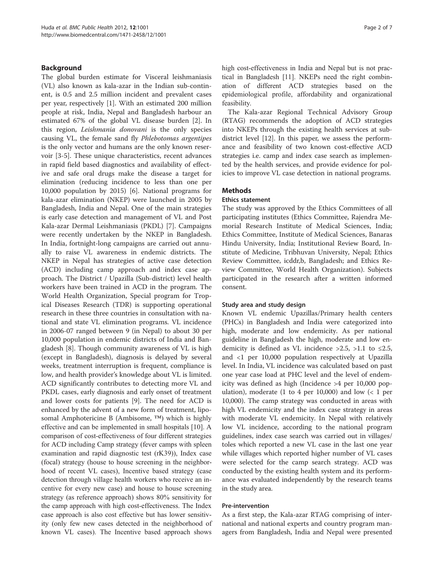## Background

The global burden estimate for Visceral leishmaniasis (VL) also known as kala-azar in the Indian sub-continent, is 0.5 and 2.5 million incident and prevalent cases per year, respectively [\[1](#page-6-0)]. With an estimated 200 million people at risk, India, Nepal and Bangladesh harbour an estimated 67% of the global VL disease burden [\[2](#page-6-0)]. In this region, Leishmania donovani is the only species causing VL, the female sand fly Phlebotomas argentipes is the only vector and humans are the only known reservoir [\[3](#page-6-0)-[5\]](#page-6-0). These unique characteristics, recent advances in rapid field based diagnostics and availability of effective and safe oral drugs make the disease a target for elimination (reducing incidence to less than one per 10,000 population by 2015) [\[6](#page-6-0)]. National programs for kala-azar elimination (NKEP) were launched in 2005 by Bangladesh, India and Nepal. One of the main strategies is early case detection and management of VL and Post Kala-azar Dermal Leishmaniasis (PKDL) [\[7](#page-6-0)]. Campaigns were recently undertaken by the NKEP in Bangladesh. In India, fortnight-long campaigns are carried out annually to raise VL awareness in endemic districts. The NKEP in Nepal has strategies of active case detection (ACD) including camp approach and index case approach. The District / Upazilla (Sub-district) level health workers have been trained in ACD in the program. The World Health Organization, Special program for Tropical Diseases Research (TDR) is supporting operational research in these three countries in consultation with national and state VL elimination programs. VL incidence in 2006-07 ranged between 9 (in Nepal) to about 30 per 10,000 population in endemic districts of India and Bangladesh [\[8](#page-6-0)]. Though community awareness of VL is high (except in Bangladesh), diagnosis is delayed by several weeks, treatment interruption is frequent, compliance is low, and health provider's knowledge about VL is limited. ACD significantly contributes to detecting more VL and PKDL cases, early diagnosis and early onset of treatment and lower costs for patients [[9\]](#page-6-0). The need for ACD is enhanced by the advent of a new form of treatment, liposomal Amphotericine B (Ambisome, ™) which is highly effective and can be implemented in small hospitals [\[10](#page-6-0)]. A comparison of cost-effectiveness of four different strategies for ACD including Camp strategy (fever camps with spleen examination and rapid diagnostic test (rK39)), Index case (focal) strategy (house to house screening in the neighborhood of recent VL cases), Incentive based strategy (case detection through village health workers who receive an incentive for every new case) and house to house screening strategy (as reference approach) shows 80% sensitivity for the camp approach with high cost-effectiveness. The Index case approach is also cost effective but has lower sensitivity (only few new cases detected in the neighborhood of known VL cases). The Incentive based approach shows high cost-effectiveness in India and Nepal but is not practical in Bangladesh [[11](#page-6-0)]. NKEPs need the right combination of different ACD strategies based on the epidemiological profile, affordability and organizational feasibility.

The Kala-azar Regional Technical Advisory Group (RTAG) recommends the adoption of ACD strategies into NKEPs through the existing health services at subdistrict level [[12\]](#page-6-0). In this paper, we assess the performance and feasibility of two known cost-effective ACD strategies i.e. camp and index case search as implemented by the health services, and provide evidence for policies to improve VL case detection in national programs.

## Methods

## Ethics statement

The study was approved by the Ethics Committees of all participating institutes (Ethics Committee, Rajendra Memorial Research Institute of Medical Sciences, India; Ethics Committee, Institute of Medical Sciences, Banaras Hindu University, India; Institutional Review Board, Institute of Medicine, Tribhuvan University, Nepal; Ethics Review Committee, icddr,b, Bangladesh; and Ethics Review Committee, World Health Organization). Subjects participated in the research after a written informed consent.

#### Study area and study design

Known VL endemic Upazillas/Primary health centers (PHCs) in Bangladesh and India were categorized into high, moderate and low endemicity. As per national guideline in Bangladesh the high, moderate and low endemicity is defined as VL incidence >2.5, >1.1 to  $\leq 2.5$ , and <1 per 10,000 population respectively at Upazilla level. In India, VL incidence was calculated based on past one year case load at PHC level and the level of endemicity was defined as high (Incidence >4 per 10,000 population), moderate (1 to 4 per 10,000) and low  $(< 1$  per 10,000). The camp strategy was conducted in areas with high VL endemicity and the index case strategy in areas with moderate VL endemicity. In Nepal with relatively low VL incidence, according to the national program guidelines, index case search was carried out in villages/ toles which reported a new VL case in the last one year while villages which reported higher number of VL cases were selected for the camp search strategy. ACD was conducted by the existing health system and its performance was evaluated independently by the research teams in the study area.

## Pre-intervention

As a first step, the Kala-azar RTAG comprising of international and national experts and country program managers from Bangladesh, India and Nepal were presented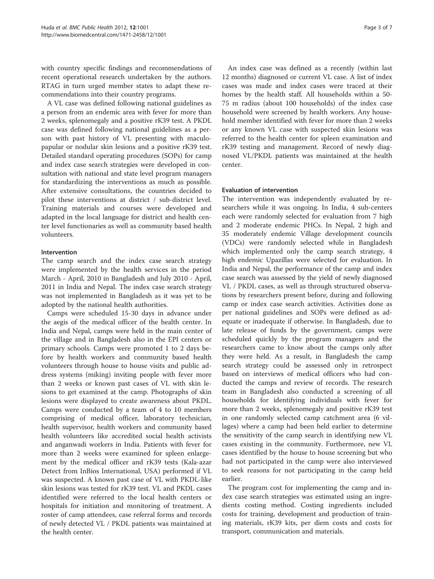with country specific findings and recommendations of recent operational research undertaken by the authors. RTAG in turn urged member states to adapt these recommendations into their country programs.

A VL case was defined following national guidelines as a person from an endemic area with fever for more than 2 weeks, splenomegaly and a positive rK39 test. A PKDL case was defined following national guidelines as a person with past history of VL presenting with maculopapular or nodular skin lesions and a positive rK39 test. Detailed standard operating procedures (SOPs) for camp and index case search strategies were developed in consultation with national and state level program managers for standardizing the interventions as much as possible. After extensive consultations, the countries decided to pilot these interventions at district / sub-district level. Training materials and courses were developed and adapted in the local language for district and health center level functionaries as well as community based health volunteers.

## Intervention

The camp search and the index case search strategy were implemented by the health services in the period March - April, 2010 in Bangladesh and July 2010 - April, 2011 in India and Nepal. The index case search strategy was not implemented in Bangladesh as it was yet to be adopted by the national health authorities.

Camps were scheduled 15-30 days in advance under the aegis of the medical officer of the health center. In India and Nepal, camps were held in the main center of the village and in Bangladesh also in the EPI centers or primary schools. Camps were promoted 1 to 2 days before by health workers and community based health volunteers through house to house visits and public address systems (miking) inviting people with fever more than 2 weeks or known past cases of VL with skin lesions to get examined at the camp. Photographs of skin lesions were displayed to create awareness about PKDL. Camps were conducted by a team of 4 to 10 members comprising of medical officer, laboratory technician, health supervisor, health workers and community based health volunteers like accredited social health activists and anganwadi workers in India. Patients with fever for more than 2 weeks were examined for spleen enlargement by the medical officer and rK39 tests (Kala-azar Detect from InBios International, USA) performed if VL was suspected. A known past case of VL with PKDL-like skin lesions was tested for rK39 test. VL and PKDL cases identified were referred to the local health centers or hospitals for initiation and monitoring of treatment. A roster of camp attendees, case referral forms and records of newly detected VL / PKDL patients was maintained at the health center.

An index case was defined as a recently (within last 12 months) diagnosed or current VL case. A list of index cases was made and index cases were traced at their homes by the health staff. All households within a 50- 75 m radius (about 100 households) of the index case household were screened by health workers. Any household member identified with fever for more than 2 weeks or any known VL case with suspected skin lesions was referred to the health center for spleen examination and rK39 testing and management. Record of newly diagnosed VL/PKDL patients was maintained at the health center.

## Evaluation of intervention

The intervention was independently evaluated by researchers while it was ongoing. In India, 4 sub-centers each were randomly selected for evaluation from 7 high and 2 moderate endemic PHCs. In Nepal, 2 high and 35 moderately endemic Village development councils (VDCs) were randomly selected while in Bangladesh which implemented only the camp search strategy, 4 high endemic Upazillas were selected for evaluation. In India and Nepal, the performance of the camp and index case search was assessed by the yield of newly diagnosed VL / PKDL cases, as well as through structured observations by researchers present before, during and following camp or index case search activities. Activities done as per national guidelines and SOPs were defined as adequate or inadequate if otherwise. In Bangladesh, due to late release of funds by the government, camps were scheduled quickly by the program managers and the researchers came to know about the camps only after they were held. As a result, in Bangladesh the camp search strategy could be assessed only in retrospect based on interviews of medical officers who had conducted the camps and review of records. The research team in Bangladesh also conducted a screening of all households for identifying individuals with fever for more than 2 weeks, splenomegaly and positive rK39 test in one randomly selected camp catchment area (6 villages) where a camp had been held earlier to determine the sensitivity of the camp search in identifying new VL cases existing in the community. Furthermore, new VL cases identified by the house to house screening but who had not participated in the camp were also interviewed to seek reasons for not participating in the camp held earlier.

The program cost for implementing the camp and index case search strategies was estimated using an ingredients costing method. Costing ingredients included costs for training, development and production of training materials, rK39 kits, per diem costs and costs for transport, communication and materials.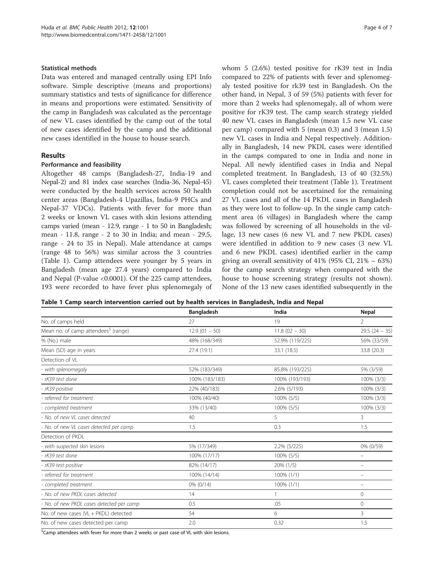## Statistical methods

Data was entered and managed centrally using EPI Info software. Simple descriptive (means and proportions) summary statistics and tests of significance for difference in means and proportions were estimated. Sensitivity of the camp in Bangladesh was calculated as the percentage of new VL cases identified by the camp out of the total of new cases identified by the camp and the additional new cases identified in the house to house search.

## Results

## Performance and feasibility

Altogether 48 camps (Bangladesh-27, India-19 and Nepal-2) and 81 index case searches (India-36, Nepal-45) were conducted by the health services across 50 health center areas (Bangladesh-4 Upazillas, India-9 PHCs and Nepal-37 VDCs). Patients with fever for more than 2 weeks or known VL cases with skin lesions attending camps varied (mean - 12.9, range - 1 to 50 in Bangladesh; mean - 11.8, range - 2 to 30 in India; and mean - 29.5, range - 24 to 35 in Nepal). Male attendance at camps (range 48 to 56%) was similar across the 3 countries (Table 1). Camp attendees were younger by 5 years in Bangladesh (mean age 27.4 years) compared to India and Nepal (P-value <0.0001). Of the 225 camp attendees, 193 were recorded to have fever plus splenomegaly of whom 5 (2.6%) tested positive for rK39 test in India compared to 22% of patients with fever and splenomegaly tested positive for rk39 test in Bangladesh. On the other hand, in Nepal, 3 of 59 (5%) patients with fever for more than 2 weeks had splenomegaly, all of whom were positive for rK39 test. The camp search strategy yielded 40 new VL cases in Bangladesh (mean 1.5 new VL case per camp) compared with 5 (mean 0.3) and 3 (mean 1.5) new VL cases in India and Nepal respectively. Additionally in Bangladesh, 14 new PKDL cases were identified in the camps compared to one in India and none in Nepal. All newly identified cases in India and Nepal completed treatment. In Bangladesh, 13 of 40 (32.5%) VL cases completed their treatment (Table 1). Treatment completion could not be ascertained for the remaining 27 VL cases and all of the 14 PKDL cases in Bangladesh as they were lost to follow-up. In the single camp catchment area (6 villages) in Bangladesh where the camp was followed by screening of all households in the village, 13 new cases (6 new VL and 7 new PKDL cases) were identified in addition to 9 new cases (3 new VL and 6 new PKDL cases) identified earlier in the camp giving an overall sensitivity of  $41\%$  (95% CI,  $21\%$  – 63%) for the camp search strategy when compared with the house to house screening strategy (results not shown). None of the 13 new cases identified subsequently in the

Table 1 Camp search intervention carried out by health services in Bangladesh, India and Nepal

|                                                  | <b>Bangladesh</b> | India           | <b>Nepal</b>                   |
|--------------------------------------------------|-------------------|-----------------|--------------------------------|
| No. of camps held                                | 27                | 19              | $\overline{2}$                 |
| Mean no. of camp attendees <sup>\$</sup> (range) | $12.9(01 - 50)$   | $11.8(02 - 30)$ | $29.5(24 - 35)$                |
| % (No.) male                                     | 48% (168/349)     | 52.9% (119/225) | 56% (33/59)                    |
| Mean (SD) age in years                           | 27.4 (19.1)       | 33.1 (18.5)     | 33.8 (20.3)                    |
| Detection of VL                                  |                   |                 |                                |
| - with splenomegaly                              | 52% (183/349)     | 85.8% (193/225) | 5% (3/59)                      |
| - rK39 test done                                 | 100% (183/183)    | 100% (193/193)  | 100% (3/3)                     |
| - rK39 positive                                  | 22% (40/183)      | 2.6% (5/193)    | 100% (3/3)                     |
| - referred for treatment                         | 100% (40/40)      | 100% (5/5)      | 100% (3/3)                     |
| - completed treatment                            | 33% (13/40)       | 100% (5/5)      | 100% (3/3)                     |
| - No. of new VL cases detected                   | 40                | 5               | 3                              |
| - No. of new VL cases detected per camp          | 1.5               | 0.3             | 1.5                            |
| Detection of PKDL                                |                   |                 |                                |
| - with suspected skin lesions                    | 5% (17/349)       | 2.2% (5/225)    | 0% (0/59)                      |
| - rK39 test done                                 | 100% (17/17)      | 100% (5/5)      | $\qquad \qquad \longleftarrow$ |
| - rK39 test positive                             | 82% (14/17)       | 20% (1/5)       | -                              |
| - referred for treatment                         | 100% (14/14)      | 100% (1/1)      | $\equiv$                       |
| - completed treatment                            | 0% (0/14)         | 100% (1/1)      | -                              |
| - No. of new PKDL cases detected                 | 14                |                 | $\mathbf{0}$                   |
| - No. of new PKDL cases detected per camp        | 0.5               | .05             | $\mathbf{0}$                   |
| No. of new cases (VL + PKDL) detected            | 54                | 6               | 3                              |
| No. of new cases detected per camp               | 2.0               | 0.32            | 1.5                            |

<sup>\$</sup>Camp attendees with fever for more than 2 weeks or past case of VL with skin lesions.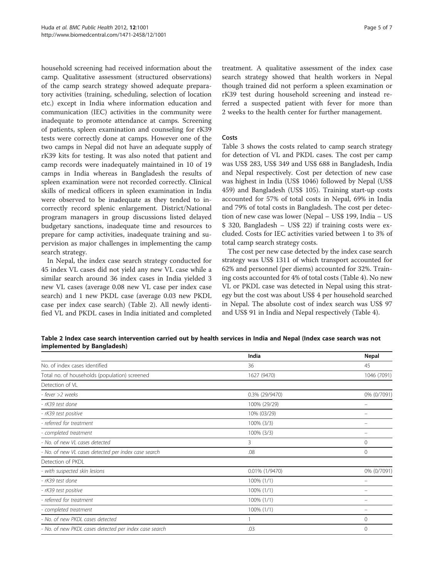household screening had received information about the camp. Qualitative assessment (structured observations) of the camp search strategy showed adequate preparatory activities (training, scheduling, selection of location etc.) except in India where information education and communication (IEC) activities in the community were inadequate to promote attendance at camps. Screening of patients, spleen examination and counseling for rK39 tests were correctly done at camps. However one of the two camps in Nepal did not have an adequate supply of rK39 kits for testing. It was also noted that patient and camp records were inadequately maintained in 10 of 19 camps in India whereas in Bangladesh the results of spleen examination were not recorded correctly. Clinical skills of medical officers in spleen examination in India were observed to be inadequate as they tended to incorrectly record splenic enlargement. District/National program managers in group discussions listed delayed budgetary sanctions, inadequate time and resources to prepare for camp activities, inadequate training and supervision as major challenges in implementing the camp search strategy.

In Nepal, the index case search strategy conducted for 45 index VL cases did not yield any new VL case while a similar search around 36 index cases in India yielded 3 new VL cases (average 0.08 new VL case per index case search) and 1 new PKDL case (average 0.03 new PKDL case per index case search) (Table 2). All newly identified VL and PKDL cases in India initiated and completed

treatment. A qualitative assessment of the index case search strategy showed that health workers in Nepal though trained did not perform a spleen examination or rK39 test during household screening and instead referred a suspected patient with fever for more than 2 weeks to the health center for further management.

## Costs

Table [3](#page-5-0) shows the costs related to camp search strategy for detection of VL and PKDL cases. The cost per camp was US\$ 283, US\$ 349 and US\$ 688 in Bangladesh, India and Nepal respectively. Cost per detection of new case was highest in India (US\$ 1046) followed by Nepal (US\$ 459) and Bangladesh (US\$ 105). Training start-up costs accounted for 57% of total costs in Nepal, 69% in India and 79% of total costs in Bangladesh. The cost per detection of new case was lower (Nepal – US\$ 199, India – US \$ 320, Bangladesh – US\$ 22) if training costs were excluded. Costs for IEC activities varied between 1 to 3% of total camp search strategy costs.

The cost per new case detected by the index case search strategy was US\$ 1311 of which transport accounted for 62% and personnel (per diems) accounted for 32%. Training costs accounted for 4% of total costs (Table [4\)](#page-5-0). No new VL or PKDL case was detected in Nepal using this strategy but the cost was about US\$ 4 per household searched in Nepal. The absolute cost of index search was US\$ 97 and US\$ 91 in India and Nepal respectively (Table [4](#page-5-0)).

Table 2 Index case search intervention carried out by health services in India and Nepal (Index case search was not implemented by Bangladesh)

|                                                        | India           | <b>Nepal</b> |
|--------------------------------------------------------|-----------------|--------------|
| No. of index cases identified                          | 36              | 45           |
| Total no. of households (population) screened          | 1627 (9470)     | 1046 (7091)  |
| Detection of VL                                        |                 |              |
| - fever >2 weeks                                       | 0.3% (29/9470)  | 0% (0/7091)  |
| - rK39 test done                                       | 100% (29/29)    |              |
| - rK39 test positive                                   | 10% (03/29)     |              |
| - referred for treatment                               | 100% (3/3)      |              |
| - completed treatment                                  | 100% (3/3)      |              |
| - No. of new VL cases detected                         | 3               | 0            |
| - No. of new VL cases detected per index case search   | .08             | 0            |
| Detection of PKDL                                      |                 |              |
| - with suspected skin lesions                          | 0.01% (1/9470)  | 0% (0/7091)  |
| - rK39 test done                                       | $100\%$ $(1/1)$ |              |
| - rK39 test positive                                   | 100% (1/1)      |              |
| - referred for treatment                               | $100\%$ (1/1)   |              |
| - completed treatment                                  | 100% (1/1)      |              |
| - No. of new PKDL cases detected                       |                 | 0            |
| - No. of new PKDL cases detected per index case search | .03             | $\Omega$     |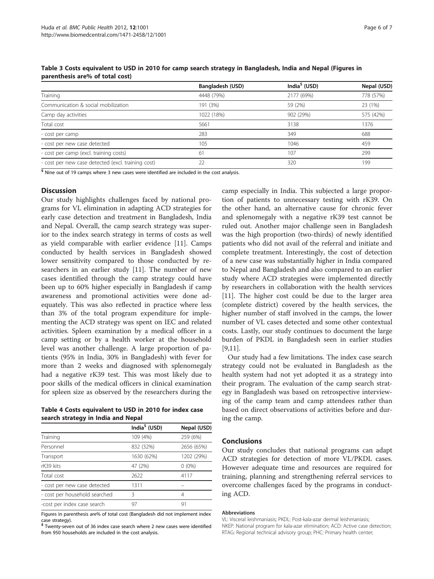|                                                    | Bangladesh (USD) | India <sup>\$</sup> (USD) | Nepal (USD) |
|----------------------------------------------------|------------------|---------------------------|-------------|
| Training                                           | 4448 (79%)       | 2177 (69%)                | 778 (57%)   |
| Communication & social mobilization                | 191 (3%)         | 59 (2%)                   | 23 (1%)     |
| Camp day activities                                | 1022 (18%)       | 902 (29%)                 | 575 (42%)   |
| Total cost                                         | 5661             | 3138                      | 1376        |
| - cost per camp                                    | 283              | 349                       | 688         |
| - cost per new case detected                       | 105              | 1046                      | 459         |
| - cost per camp (excl. training costs)             | 61               | 107                       | 299         |
| - cost per new case detected (excl. training cost) | 22               | 320                       | 199         |

<span id="page-5-0"></span>Table 3 Costs equivalent to USD in 2010 for camp search strategy in Bangladesh, India and Nepal (Figures in parenthesis are% of total cost)

 $\frac{1}{5}$  Nine out of 19 camps where 3 new cases were identified are included in the cost analysis.

### **Discussion**

Our study highlights challenges faced by national programs for VL elimination in adapting ACD strategies for early case detection and treatment in Bangladesh, India and Nepal. Overall, the camp search strategy was superior to the index search strategy in terms of costs as well as yield comparable with earlier evidence [\[11](#page-6-0)]. Camps conducted by health services in Bangladesh showed lower sensitivity compared to those conducted by researchers in an earlier study [[11\]](#page-6-0). The number of new cases identified through the camp strategy could have been up to 60% higher especially in Bangladesh if camp awareness and promotional activities were done adequately. This was also reflected in practice where less than 3% of the total program expenditure for implementing the ACD strategy was spent on IEC and related activities. Spleen examination by a medical officer in a camp setting or by a health worker at the household level was another challenge. A large proportion of patients (95% in India, 30% in Bangladesh) with fever for more than 2 weeks and diagnosed with splenomegaly had a negative rK39 test. This was most likely due to poor skills of the medical officers in clinical examination for spleen size as observed by the researchers during the

Table 4 Costs equivalent to USD in 2010 for index case search strategy in India and Nepal

|                               | India <sup>\$</sup> (USD) | Nepal (USD) |
|-------------------------------|---------------------------|-------------|
| Training                      | 109 (4%)                  | 259 (6%)    |
| Personnel                     | 832 (32%)                 | 2656 (65%)  |
| Transport                     | 1630 (62%)                | 1202 (29%)  |
| rK39 kits                     | 47 (2%)                   | $0(0\%)$    |
| Total cost                    | 2622                      | 4117        |
| - cost per new case detected  | 1311                      |             |
| - cost per household searched | ζ                         | 4           |
| -cost per index case search   | 97                        | 91          |

Figures in parenthesis are% of total cost (Bangladesh did not implement index

case strategy).<br><sup>\$</sup> Twenty-seven out of 36 index case search where 2 new cases were identified from 950 households are included in the cost analysis.

camp especially in India. This subjected a large proportion of patients to unnecessary testing with rK39. On the other hand, an alternative cause for chronic fever and splenomegaly with a negative rK39 test cannot be ruled out. Another major challenge seen in Bangladesh was the high proportion (two-thirds) of newly identified patients who did not avail of the referral and initiate and complete treatment. Interestingly, the cost of detection of a new case was substantially higher in India compared to Nepal and Bangladesh and also compared to an earlier study where ACD strategies were implemented directly by researchers in collaboration with the health services [[11\]](#page-6-0). The higher cost could be due to the larger area (complete district) covered by the health services, the higher number of staff involved in the camps, the lower number of VL cases detected and some other contextual costs. Lastly, our study continues to document the large burden of PKDL in Bangladesh seen in earlier studies [[9,11\]](#page-6-0).

Our study had a few limitations. The index case search strategy could not be evaluated in Bangladesh as the health system had not yet adopted it as a strategy into their program. The evaluation of the camp search strategy in Bangladesh was based on retrospective interviewing of the camp team and camp attendees rather than based on direct observations of activities before and during the camp.

## Conclusions

Our study concludes that national programs can adapt ACD strategies for detection of more VL/PKDL cases. However adequate time and resources are required for training, planning and strengthening referral services to overcome challenges faced by the programs in conducting ACD.

#### Abbreviations

VL: Visceral leishmaniasis; PKDL: Post-kala-azar dermal leishmaniasis; NKEP: National program for kala-azar elimination; ACD: Active case detection; RTAG: Regional technical advisory group; PHC: Primary health center;